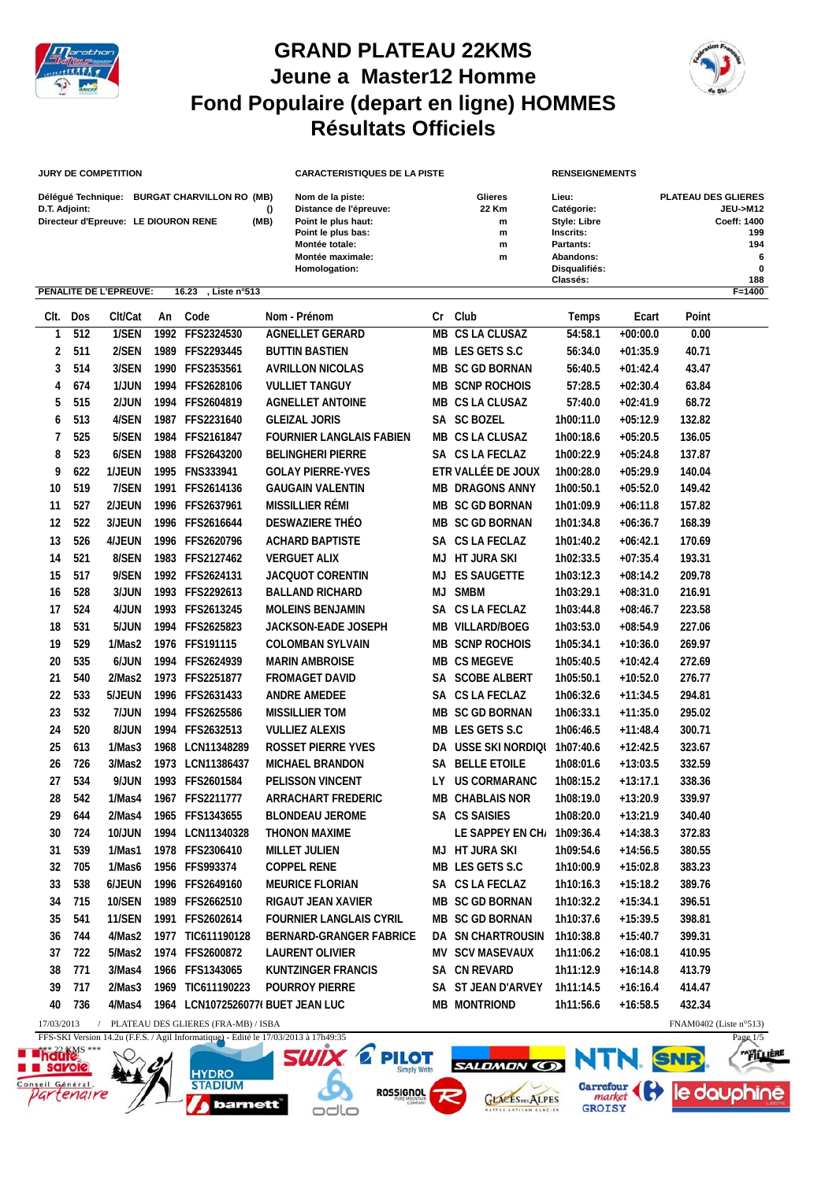

## **GRAND PLATEAU 22KMS Jeune a Master12 Homme Fond Populaire (depart en ligne) HOMMES Résultats Officiels**



## **JURY DE COMPETITION**

| Délégué Technique:                   | <b>BURGAT CHARVILLON RO (MB)</b> |          |
|--------------------------------------|----------------------------------|----------|
| D.T. Adjoint:                        |                                  | $\Omega$ |
| Directeur d'Epreuve: LE DIOURON RENE |                                  | (MB)     |

| <b>JURY DE COMPETITION</b>           |                                              |      | <b>CARACTERISTIQUES DE LA PISTE</b> |                | <b>RENSEIGNEMENTS</b> |                            |  |
|--------------------------------------|----------------------------------------------|------|-------------------------------------|----------------|-----------------------|----------------------------|--|
|                                      | Délégué Technique: BURGAT CHARVILLON RO (MB) |      | Nom de la piste:                    | <b>Glieres</b> | Lieu:                 | <b>PLATEAU DES GLIERES</b> |  |
| D.T. Adjoint:                        |                                              |      | Distance de l'épreuve:              | 22 Km          | Catégorie:            | JEU->M12                   |  |
| Directeur d'Epreuve: LE DIOURON RENE |                                              | (MB) | Point le plus haut:                 | m              | <b>Style: Libre</b>   | Coeff: 1400                |  |
|                                      |                                              |      | Point le plus bas:                  | m              | Inscrits:             | 199                        |  |
|                                      |                                              |      | Montée totale:                      | m              | Partants:             | 194                        |  |
|                                      |                                              |      | Montée maximale:                    | m              | Abandons:             | 6                          |  |
|                                      |                                              |      | Homologation:                       |                | Disqualifiés:         | $\bf{0}$                   |  |
|                                      |                                              |      |                                     |                | Classés:              | 188                        |  |

|            |          | PENALITE DE L'EPREUVE: |    | 16.23<br>, Liste n°513              |                                   |    |                               |           |            |                           | F=1400 |
|------------|----------|------------------------|----|-------------------------------------|-----------------------------------|----|-------------------------------|-----------|------------|---------------------------|--------|
|            | CIt. Dos | Clt/Cat                | An | Code                                | Nom - Prénom                      |    | Cr Club                       | Temps     | Ecart      | Point                     |        |
| 1          | 512      | 1/SEN                  |    | 1992 FFS2324530                     | <b>AGNELLET GERARD</b>            |    | <b>MB CS LA CLUSAZ</b>        | 54:58.1   | $+00:00.0$ | 0.00                      |        |
| 2          | 511      | 2/SEN                  |    | 1989 FFS2293445                     | <b>BUTTIN BASTIEN</b>             |    | MB LES GETS S.C               | 56:34.0   | $+01:35.9$ | 40.71                     |        |
| 3          | 514      | 3/SEN                  |    | 1990 FFS2353561                     | <b>AVRILLON NICOLAS</b>           |    | <b>MB SC GD BORNAN</b>        | 56:40.5   | $+01:42.4$ | 43.47                     |        |
| 4          | 674      | 1/JUN                  |    | 1994 FFS2628106                     | <b>VULLIET TANGUY</b>             |    | <b>MB SCNP ROCHOIS</b>        | 57:28.5   | $+02:30.4$ | 63.84                     |        |
| 5          | 515      | 2/JUN                  |    | 1994 FFS2604819                     | <b>AGNELLET ANTOINE</b>           |    | MB CS LA CLUSAZ               | 57:40.0   | $+02:41.9$ | 68.72                     |        |
| 6          | 513      | 4/SEN                  |    | 1987 FFS2231640                     | <b>GLEIZAL JORIS</b>              |    | SA SC BOZEL                   | 1h00:11.0 | $+05:12.9$ | 132.82                    |        |
| 7          | 525      | 5/SEN                  |    | 1984 FFS2161847                     | <b>FOURNIER LANGLAIS FABIEN</b>   |    | MB CS LA CLUSAZ               | 1h00:18.6 | $+05:20.5$ | 136.05                    |        |
| 8          | 523      | 6/SEN                  |    | 1988 FFS2643200                     | <b>BELINGHERI PIERRE</b>          |    | SA CS LA FECLAZ               | 1h00:22.9 | $+05:24.8$ | 137.87                    |        |
| 9          | 622      | 1/JEUN                 |    | 1995 FNS333941                      | <b>GOLAY PIERRE-YVES</b>          |    | ETR VALLÉE DE JOUX            | 1h00:28.0 | $+05:29.9$ | 140.04                    |        |
| 10         | 519      | 7/SEN                  |    | 1991 FFS2614136                     | <b>GAUGAIN VALENTIN</b>           |    | <b>MB DRAGONS ANNY</b>        | 1h00:50.1 | $+05:52.0$ | 149.42                    |        |
| 11         | 527      | 2/JEUN                 |    | 1996 FFS2637961                     | <b>MISSILLIER RÉMI</b>            |    | <b>MB SC GD BORNAN</b>        | 1h01:09.9 | $+06:11.8$ | 157.82                    |        |
| 12         | 522      | 3/JEUN                 |    | 1996 FFS2616644                     | DESWAZIERE THÉO                   |    | MB SC GD BORNAN               | 1h01:34.8 | $+06:36.7$ | 168.39                    |        |
| 13         | 526      | 4/JEUN                 |    | 1996 FFS2620796                     | <b>ACHARD BAPTISTE</b>            |    | SA CS LA FECLAZ               | 1h01:40.2 | $+06:42.1$ | 170.69                    |        |
| 14         | 521      | 8/SEN                  |    | 1983 FFS2127462                     | <b>VERGUET ALIX</b>               |    | <b>MJ HT JURA SKI</b>         | 1h02:33.5 | $+07:35.4$ | 193.31                    |        |
| 15         | 517      | 9/SEN                  |    | 1992 FFS2624131                     | <b>JACQUOT CORENTIN</b>           | МJ | <b>ES SAUGETTE</b>            | 1h03:12.3 | $+08:14.2$ | 209.78                    |        |
| 16         | 528      | 3/JUN                  |    | 1993 FFS2292613                     | <b>BALLAND RICHARD</b>            | МJ | <b>SMBM</b>                   | 1h03:29.1 | $+08:31.0$ | 216.91                    |        |
| 17         | 524      | 4/JUN                  |    | 1993 FFS2613245                     | MOLEINS BENJAMIN                  |    | SA CS LA FECLAZ               | 1h03:44.8 | $+08:46.7$ | 223.58                    |        |
| 18         | 531      | 5/JUN                  |    | 1994 FFS2625823                     | JACKSON-EADE JOSEPH               |    | MB VILLARD/BOEG               | 1h03:53.0 | $+08:54.9$ | 227.06                    |        |
| 19         | 529      | 1/Mas2                 |    | 1976 FFS191115                      | <b>COLOMBAN SYLVAIN</b>           |    | <b>MB SCNP ROCHOIS</b>        | 1h05:34.1 | $+10:36.0$ | 269.97                    |        |
| 20         | 535      | 6/JUN                  |    | 1994 FFS2624939                     | <b>MARIN AMBROISE</b>             |    | <b>MB CS MEGEVE</b>           | 1h05:40.5 | $+10:42.4$ | 272.69                    |        |
| 21         | 540      | 2/Mas2                 |    | 1973 FFS2251877                     | <b>FROMAGET DAVID</b>             |    | SA SCOBE ALBERT               | 1h05:50.1 | $+10:52.0$ | 276.77                    |        |
| 22         | 533      | 5/JEUN                 |    | 1996 FFS2631433                     | <b>ANDRE AMEDEE</b>               |    | SA CS LA FECLAZ               | 1h06:32.6 | $+11:34.5$ | 294.81                    |        |
| 23         | 532      | 7/JUN                  |    | 1994 FFS2625586                     | <b>MISSILLIER TOM</b>             |    | <b>MB SC GD BORNAN</b>        | 1h06:33.1 | $+11:35.0$ | 295.02                    |        |
| 24         | 520      | 8/JUN                  |    | 1994 FFS2632513                     | <b>VULLIEZ ALEXIS</b>             |    | MB LES GETS S.C               | 1h06:46.5 | $+11:48.4$ | 300.71                    |        |
| 25         | 613      | 1/Mas3                 |    | 1968 LCN11348289                    | <b>ROSSET PIERRE YVES</b>         |    | DA USSE SKI NORDIQI 1h07:40.6 |           | $+12:42.5$ | 323.67                    |        |
| 26         | 726      | 3/Mas2                 |    | 1973 LCN11386437                    | <b>MICHAEL BRANDON</b>            |    | SA BELLE ETOILE               | 1h08:01.6 | $+13:03.5$ | 332.59                    |        |
| 27         | 534      | 9/JUN                  |    | 1993 FFS2601584                     | PELISSON VINCENT                  |    | LY US CORMARANC               | 1h08:15.2 | $+13:17.1$ | 338.36                    |        |
| 28         | 542      | 1/Mas4                 |    | 1967 FFS2211777                     | <b>ARRACHART FREDERIC</b>         |    | <b>MB CHABLAIS NOR</b>        | 1h08:19.0 | $+13:20.9$ | 339.97                    |        |
| 29         | 644      | 2/Mas4                 |    | 1965 FFS1343655                     | <b>BLONDEAU JEROME</b>            |    | SA CS SAISIES                 | 1h08:20.0 | $+13:21.9$ | 340.40                    |        |
| 30         | 724      | <b>10/JUN</b>          |    | 1994 LCN11340328                    | <b>THONON MAXIME</b>              |    | LE SAPPEY EN CH/ 1h09:36.4    |           | $+14:38.3$ | 372.83                    |        |
| 31         | 539      | 1/Mas1                 |    | 1978 FFS2306410                     | <b>MILLET JULIEN</b>              |    | <b>MJ HT JURA SKI</b>         | 1h09:54.6 | $+14:56.5$ | 380.55                    |        |
| 32         | 705      | 1/Mas6                 |    | 1956 FFS993374                      | <b>COPPEL RENE</b>                |    | MB LES GETS S.C               | 1h10:00.9 | $+15:02.8$ | 383.23                    |        |
| 33         | 538      | 6/JEUN                 |    | 1996 FFS2649160                     | <b>MEURICE FLORIAN</b>            |    | SA CS LA FECLAZ               | 1h10:16.3 | $+15:18.2$ | 389.76                    |        |
| 34         | 715      | 10/SEN                 |    | 1989 FFS2662510                     | RIGAUT JEAN XAVIER                |    | <b>MB SC GD BORNAN</b>        | 1h10:32.2 | $+15:34.1$ | 396.51                    |        |
|            | 35 541   |                        |    | 11/SEN 1991 FFS2602614              | <b>FOURNIER LANGLAIS CYRIL</b>    |    | MB SC GD BORNAN               | 1h10:37.6 | $+15:39.5$ | 398.81                    |        |
| 36         | 744      | 4/Mas2                 |    | 1977 TIC611190128                   | <b>BERNARD-GRANGER FABRICE</b>    |    | DA SN CHARTROUSIN             | 1h10:38.8 | $+15:40.7$ | 399.31                    |        |
| 37         | 722      | 5/Mas2                 |    | 1974 FFS2600872                     | <b>LAURENT OLIVIER</b>            |    | <b>MV SCV MASEVAUX</b>        | 1h11:06.2 | $+16:08.1$ | 410.95                    |        |
| 38         | 771      | 3/Mas4                 |    | 1966 FFS1343065                     | <b>KUNTZINGER FRANCIS</b>         |    | SA CN REVARD                  | 1h11:12.9 | $+16:14.8$ | 413.79                    |        |
| 39         | 717      | 2/Mas3                 |    | 1969 TIC611190223                   | <b>POURROY PIERRE</b>             |    | SA ST JEAN D'ARVEY            | 1h11:14.5 | $+16:16.4$ | 414.47                    |        |
| 40         | 736      | 4/Mas4                 |    |                                     | 1964 LCN1072526077( BUET JEAN LUC |    | <b>MB MONTRIOND</b>           | 1h11:56.6 | $+16:58.5$ | 432.34                    |        |
| 17/03/2013 |          |                        |    | PLATEAU DES GLIERES (FRA-MB) / ISBA |                                   |    |                               |           |            | FNAM0402 (Liste $n°513$ ) |        |

**HYDRO** 





odlo





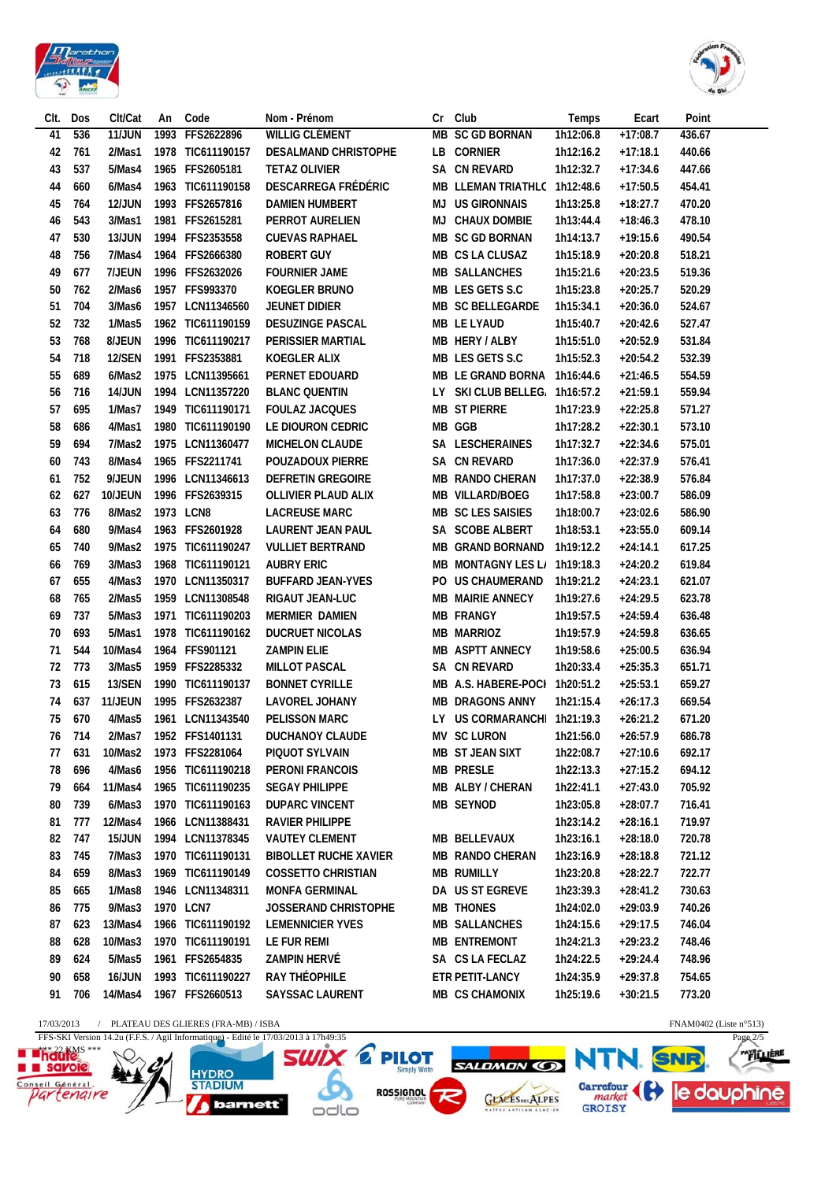



| Clt. | Dos    | Clt/Cat       | An | Code                                             | Nom - Prénom                 |    | Cr Club                       | Temps     | Ecart      | Point                     |
|------|--------|---------------|----|--------------------------------------------------|------------------------------|----|-------------------------------|-----------|------------|---------------------------|
| 41   | 536    | <b>11/JUN</b> |    | 1993 FFS2622896                                  | WILLIG CLÉMENT               |    | MB SC GD BORNAN               | 1h12:06.8 | $+17:08.7$ | 436.67                    |
| 42   | 761    | 2/Mas1        |    | 1978 TIC611190157                                | DESALMAND CHRISTOPHE         |    | LB CORNIER                    | 1h12:16.2 | $+17:18.1$ | 440.66                    |
| 43   | 537    | 5/Mas4        |    | 1965 FFS2605181                                  | <b>TETAZ OLIVIER</b>         |    | SA CN REVARD                  | 1h12:32.7 | $+17:34.6$ | 447.66                    |
| 44   | 660    | 6/Mas4        |    | 1963 TIC611190158                                | DESCARREGA FRÉDÉRIC          |    | MB LLEMAN TRIATHLC 1h12:48.6  |           | $+17:50.5$ | 454.41                    |
| 45   | 764    | <b>12/JUN</b> |    | 1993 FFS2657816                                  | <b>DAMIEN HUMBERT</b>        | MJ | <b>US GIRONNAIS</b>           | 1h13:25.8 | $+18:27.7$ | 470.20                    |
| 46   | 543    | 3/Mas1        |    | 1981 FFS2615281                                  | PERROT AURELIEN              | MJ | <b>CHAUX DOMBIE</b>           | 1h13:44.4 | $+18:46.3$ | 478.10                    |
| 47   | 530    | 13/JUN        |    | 1994 FFS2353558                                  | <b>CUEVAS RAPHAEL</b>        |    | <b>MB SC GD BORNAN</b>        | 1h14:13.7 | $+19:15.6$ | 490.54                    |
| 48   | 756    | 7/Mas4        |    | 1964 FFS2666380                                  | <b>ROBERT GUY</b>            |    | MB CS LA CLUSAZ               | 1h15:18.9 | $+20:20.8$ | 518.21                    |
| 49   | 677    | 7/JEUN        |    | 1996 FFS2632026                                  | <b>FOURNIER JAME</b>         |    | <b>MB SALLANCHES</b>          | 1h15:21.6 | $+20:23.5$ | 519.36                    |
| 50   | 762    | 2/Mas6        |    | 1957 FFS993370                                   | KOEGLER BRUNO                |    | MB LES GETS S.C               | 1h15:23.8 | $+20:25.7$ | 520.29                    |
| 51   | 704    | 3/Mas6        |    | 1957 LCN11346560                                 | <b>JEUNET DIDIER</b>         |    | MB SC BELLEGARDE              | 1h15:34.1 | $+20:36.0$ | 524.67                    |
| 52   | 732    | 1/Mas5        |    | 1962 TIC611190159                                | <b>DESUZINGE PASCAL</b>      |    | <b>MB LE LYAUD</b>            | 1h15:40.7 |            | 527.47                    |
|      |        |               |    |                                                  |                              |    | MB HERY / ALBY                |           | $+20:42.6$ |                           |
| 53   | 768    | 8/JEUN        |    | 1996 TIC611190217                                | PERISSIER MARTIAL            |    |                               | 1h15:51.0 | $+20:52.9$ | 531.84                    |
| 54   | 718    | <b>12/SEN</b> |    | 1991 FFS2353881                                  | <b>KOEGLER ALIX</b>          |    | MB LES GETS S.C               | 1h15:52.3 | $+20:54.2$ | 532.39                    |
| 55   | 689    | 6/Mas2        |    | 1975 LCN11395661                                 | PERNET EDOUARD               |    | MB LE GRAND BORNA             | 1h16:44.6 | $+21:46.5$ | 554.59                    |
| 56   | 716    | <b>14/JUN</b> |    | 1994 LCN11357220                                 | <b>BLANC QUENTIN</b>         |    | LY SKI CLUB BELLEG 1h16:57.2  |           | $+21:59.1$ | 559.94                    |
| 57   | 695    | 1/Mas7        |    | 1949 TIC611190171                                | <b>FOULAZ JACQUES</b>        |    | <b>MB ST PIERRE</b>           | 1h17:23.9 | $+22:25.8$ | 571.27                    |
| 58   | 686    | 4/Mas1        |    | 1980 TIC611190190                                | LE DIOURON CEDRIC            |    | MB GGB                        | 1h17:28.2 | $+22:30.1$ | 573.10                    |
| 59   | 694    | 7/Mas2        |    | 1975 LCN11360477                                 | <b>MICHELON CLAUDE</b>       |    | SA LESCHERAINES               | 1h17:32.7 | $+22:34.6$ | 575.01                    |
| 60   | 743    | 8/Mas4        |    | 1965 FFS2211741                                  | <b>POUZADOUX PIERRE</b>      |    | SA CN REVARD                  | 1h17:36.0 | $+22:37.9$ | 576.41                    |
| 61   | 752    | 9/JEUN        |    | 1996 LCN11346613                                 | <b>DEFRETIN GREGOIRE</b>     |    | <b>MB RANDO CHERAN</b>        | 1h17:37.0 | $+22:38.9$ | 576.84                    |
| 62   | 627    | 10/JEUN       |    | 1996 FFS2639315                                  | OLLIVIER PLAUD ALIX          |    | <b>MB VILLARD/BOEG</b>        | 1h17:58.8 | $+23:00.7$ | 586.09                    |
| 63   | 776    | 8/Mas2        |    | 1973 LCN8                                        | <b>LACREUSE MARC</b>         |    | MB SC LES SAISIES             | 1h18:00.7 | $+23:02.6$ | 586.90                    |
| 64   | 680    | 9/Mas4        |    | 1963 FFS2601928                                  | LAURENT JEAN PAUL            |    | SA SCOBE ALBERT               | 1h18:53.1 | $+23:55.0$ | 609.14                    |
| 65   | 740    | 9/Mas2        |    | 1975 TIC611190247                                | <b>VULLIET BERTRAND</b>      |    | <b>MB GRAND BORNAND</b>       | 1h19:12.2 | $+24:14.1$ | 617.25                    |
| 66   | 769    | 3/Mas3        |    | 1968 TIC611190121                                | <b>AUBRY ERIC</b>            |    | MB MONTAGNY LES L/ 1h19:18.3  |           | $+24:20.2$ | 619.84                    |
| 67   | 655    | 4/Mas3        |    | 1970 LCN11350317                                 | <b>BUFFARD JEAN-YVES</b>     |    | PO US CHAUMERAND              | 1h19:21.2 | $+24:23.1$ | 621.07                    |
| 68   | 765    | 2/Mas5        |    | 1959 LCN11308548                                 | RIGAUT JEAN-LUC              |    | <b>MB MAIRIE ANNECY</b>       | 1h19:27.6 | $+24:29.5$ | 623.78                    |
| 69   | 737    | 5/Mas3        |    | 1971 TIC611190203                                | <b>MERMIER DAMIEN</b>        |    | <b>MB FRANGY</b>              | 1h19:57.5 | $+24:59.4$ | 636.48                    |
| 70   | 693    | 5/Mas1        |    | 1978 TIC611190162                                | <b>DUCRUET NICOLAS</b>       |    | <b>MB MARRIOZ</b>             | 1h19:57.9 | $+24:59.8$ | 636.65                    |
| 71   | 544    | 10/Mas4       |    | 1964 FFS901121                                   | <b>ZAMPIN ELIE</b>           |    | MB ASPTT ANNECY               | 1h19:58.6 | $+25:00.5$ | 636.94                    |
| 72   | 773    | 3/Mas5        |    | 1959 FFS2285332                                  | <b>MILLOT PASCAL</b>         |    | <b>SA CN REVARD</b>           | 1h20:33.4 | $+25:35.3$ | 651.71                    |
| 73   | 615    | 13/SEN        |    | 1990 TIC611190137                                | <b>BONNET CYRILLE</b>        |    | MB A.S. HABERE-POCI 1h20:51.2 |           | $+25:53.1$ | 659.27                    |
| 74   | 637    | 11/JEUN       |    | 1995 FFS2632387                                  | LAVOREL JOHANY               |    | <b>MB DRAGONS ANNY</b>        | 1h21:15.4 | $+26:17.3$ | 669.54                    |
| 75   | 670    | 4/Mas5        |    | 1961 LCN11343540                                 | <b>PELISSON MARC</b>         |    | LY US CORMARANCHI 1h21:19.3   |           | $+26:21.2$ | 671.20                    |
|      | 76 714 | 2/Mas7        |    | 1952 FFS1401131                                  | DUCHANOY CLAUDE              |    | MV SC LURON                   | 1h21:56.0 | $+26:57.9$ | 686.78                    |
|      | 77 631 |               |    | 10/Mas2 1973 FFS2281064                          | PIQUOT SYLVAIN               |    | MB ST JEAN SIXT               | 1h22:08.7 | $+27:10.6$ | 692.17                    |
| 78   | 696    | 4/Mas6        |    | 1956 TIC611190218                                | <b>PERONI FRANCOIS</b>       |    | <b>MB PRESLE</b>              | 1h22:13.3 | $+27:15.2$ | 694.12                    |
| 79   | 664    | 11/Mas4       |    | 1965 TIC611190235                                | <b>SEGAY PHILIPPE</b>        |    | MB ALBY / CHERAN              | 1h22:41.1 | $+27:43.0$ | 705.92                    |
| 80   | 739    | 6/Mas3        |    | 1970 TIC611190163                                | <b>DUPARC VINCENT</b>        |    | MB SEYNOD                     | 1h23:05.8 | $+28:07.7$ | 716.41                    |
| 81   | 777    | 12/Mas4       |    | 1966 LCN11388431                                 | <b>RAVIER PHILIPPE</b>       |    |                               | 1h23:14.2 | $+28:16.1$ | 719.97                    |
| 82   | 747    | <b>15/JUN</b> |    | 1994 LCN11378345                                 | <b>VAUTEY CLEMENT</b>        |    | MB BELLEVAUX                  | 1h23:16.1 | $+28:18.0$ | 720.78                    |
| 83   | 745    | 7/Mas3        |    | 1970 TIC611190131                                | <b>BIBOLLET RUCHE XAVIER</b> |    | MB RANDO CHERAN               |           |            | 721.12                    |
|      |        |               |    |                                                  |                              |    |                               | 1h23:16.9 | $+28:18.8$ | 722.77                    |
| 84   | 659    | 8/Mas3        |    | 1969 TIC611190149                                | <b>COSSETTO CHRISTIAN</b>    |    | <b>MB RUMILLY</b>             | 1h23:20.8 | $+28:22.7$ |                           |
| 85   | 665    | 1/Mas8        |    | 1946 LCN11348311                                 | <b>MONFA GERMINAL</b>        |    | DA US ST EGREVE               | 1h23:39.3 | $+28:41.2$ | 730.63                    |
| 86   | 775    | 9/Mas3        |    | 1970 LCN7                                        | <b>JOSSERAND CHRISTOPHE</b>  |    | <b>MB THONES</b>              | 1h24:02.0 | $+29:03.9$ | 740.26                    |
| 87   | 623    | 13/Mas4       |    | 1966 TIC611190192                                | <b>LEMENNICIER YVES</b>      |    | <b>MB SALLANCHES</b>          | 1h24:15.6 | $+29:17.5$ | 746.04                    |
| 88   | 628    | 10/Mas3       |    | 1970 TIC611190191                                | LE FUR REMI                  |    | <b>MB ENTREMONT</b>           | 1h24:21.3 | $+29:23.2$ | 748.46                    |
| 89   | 624    | 5/Mas5        |    | 1961 FFS2654835                                  | ZAMPIN HERVÉ                 |    | SA CS LA FECLAZ               | 1h24:22.5 | $+29:24.4$ | 748.96                    |
| 90   | 658    | 16/JUN        |    | 1993 TIC611190227                                | RAY THÉOPHILE                |    | ETR PETIT-LANCY               | 1h24:35.9 | $+29:37.8$ | 754.65                    |
| 91   | 706    | 14/Mas4       |    | 1967 FFS2660513                                  | <b>SAYSSAC LAURENT</b>       |    | MB CS CHAMONIX                | 1h25:19.6 | $+30:21.5$ | 773.20                    |
|      |        |               |    | 17/03/2013 / PLATEAU DES GLIERES (FRA-MB) / ISBA |                              |    |                               |           |            | FNAM0402 (Liste $n°513$ ) |

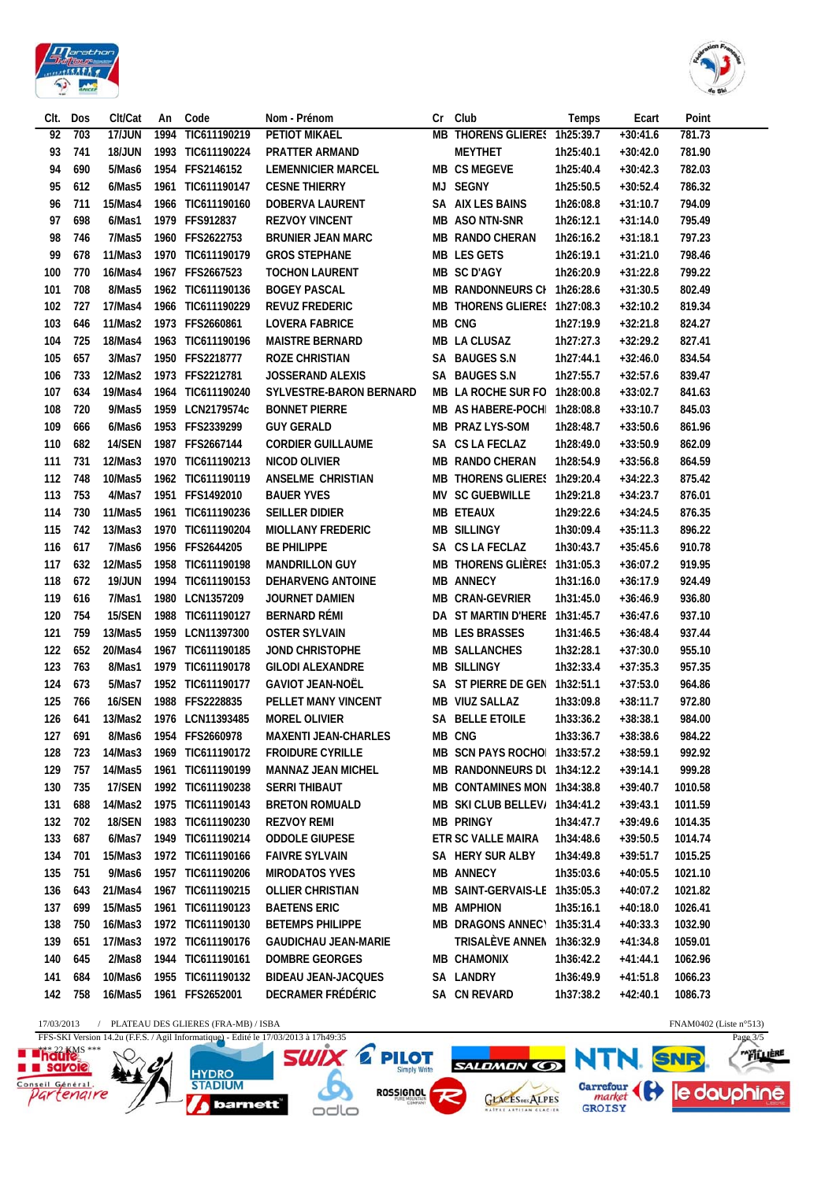



| Clt.       | Dos | Clt/Cat       | An   | Code                                  | Nom - Prénom                |    | Cr Club                       | Temps     | Ecart      | Point                     |
|------------|-----|---------------|------|---------------------------------------|-----------------------------|----|-------------------------------|-----------|------------|---------------------------|
| 92         | 703 | <b>17/JUN</b> | 1994 | TIC611190219                          | <b>PETIOT MIKAEL</b>        | MВ | THORENS GLIERES 1h25:39.7     |           | $+30:41.6$ | 781.73                    |
| 93         | 741 | 18/JUN        |      | 1993 TIC611190224                     | <b>PRATTER ARMAND</b>       |    | <b>MEYTHET</b>                | 1h25:40.1 | $+30:42.0$ | 781.90                    |
| 94         | 690 | 5/Mas6        |      | 1954 FFS2146152                       | <b>LEMENNICIER MARCEL</b>   |    | <b>MB CS MEGEVE</b>           | 1h25:40.4 | $+30:42.3$ | 782.03                    |
| 95         | 612 | 6/Mas5        |      | 1961 TIC611190147                     | <b>CESNE THIERRY</b>        |    | MJ SEGNY                      | 1h25:50.5 | $+30:52.4$ | 786.32                    |
| 96         | 711 | 15/Mas4       |      | 1966 TIC611190160                     | DOBERVA LAURENT             |    | SA AIX LES BAINS              | 1h26:08.8 | $+31:10.7$ | 794.09                    |
| 97         | 698 | 6/Mas1        |      | 1979 FFS912837                        | <b>REZVOY VINCENT</b>       |    | MB ASO NTN-SNR                | 1h26:12.1 | $+31:14.0$ | 795.49                    |
| 98         | 746 | 7/Mas5        |      | 1960 FFS2622753                       | <b>BRUNIER JEAN MARC</b>    |    | <b>MB RANDO CHERAN</b>        | 1h26:16.2 | $+31:18.1$ | 797.23                    |
| 99         | 678 | 11/Mas3       |      | 1970 TIC611190179                     | <b>GROS STEPHANE</b>        |    | <b>MB LES GETS</b>            | 1h26:19.1 | $+31:21.0$ | 798.46                    |
| 100        | 770 | 16/Mas4       |      | 1967 FFS2667523                       | <b>TOCHON LAURENT</b>       |    | MB SC D'AGY                   | 1h26:20.9 | $+31:22.8$ | 799.22                    |
| 101        | 708 | 8/Mas5        |      | 1962 TIC611190136                     | <b>BOGEY PASCAL</b>         |    | MB RANDONNEURS CI 1h26:28.6   |           | $+31:30.5$ | 802.49                    |
| 102        | 727 | 17/Mas4       |      | 1966 TIC611190229                     | <b>REVUZ FREDERIC</b>       |    | MB THORENS GLIERES 1h27:08.3  |           | $+32:10.2$ | 819.34                    |
| 103        | 646 | 11/Mas2       |      | 1973 FFS2660861                       | <b>LOVERA FABRICE</b>       |    | MB CNG                        | 1h27:19.9 | $+32:21.8$ | 824.27                    |
| 104        | 725 | 18/Mas4       |      | 1963 TIC611190196                     | <b>MAISTRE BERNARD</b>      |    | MB LA CLUSAZ                  | 1h27:27.3 | $+32:29.2$ | 827.41                    |
| 105        | 657 | 3/Mas7        |      | 1950 FFS2218777                       | <b>ROZE CHRISTIAN</b>       |    | SA BAUGES S.N                 | 1h27:44.1 | $+32:46.0$ | 834.54                    |
| 106        | 733 | 12/Mas2       |      | 1973 FFS2212781                       | <b>JOSSERAND ALEXIS</b>     |    | SA BAUGES S.N                 | 1h27:55.7 | $+32:57.6$ | 839.47                    |
| 107        | 634 | 19/Mas4       |      | 1964 TIC611190240                     | SYLVESTRE-BARON BERNARD     |    | MB LA ROCHE SUR FO            | 1h28:00.8 | $+33:02.7$ | 841.63                    |
| 108        | 720 | 9/Mas5        |      | 1959 LCN2179574c                      | <b>BONNET PIERRE</b>        |    | MB AS HABERE-POCH 1h28:08.8   |           | $+33:10.7$ | 845.03                    |
| 109        | 666 |               |      | 1953 FFS2339299                       | <b>GUY GERALD</b>           |    | <b>MB PRAZ LYS-SOM</b>        |           |            |                           |
|            |     | 6/Mas6        |      |                                       |                             |    |                               | 1h28:48.7 | $+33:50.6$ | 861.96                    |
| 110        | 682 | 14/SEN        |      | 1987 FFS2667144<br>1970 TIC611190213  | <b>CORDIER GUILLAUME</b>    |    | SA CS LA FECLAZ               | 1h28:49.0 | $+33:50.9$ | 862.09                    |
| 111        | 731 | 12/Mas3       |      |                                       | <b>NICOD OLIVIER</b>        |    | <b>MB RANDO CHERAN</b>        | 1h28:54.9 | $+33:56.8$ | 864.59                    |
| 112        | 748 | 10/Mas5       |      | 1962 TIC611190119                     | ANSELME CHRISTIAN           |    | <b>MB THORENS GLIERES</b>     | 1h29:20.4 | $+34:22.3$ | 875.42                    |
| 113        | 753 | 4/Mas7        |      | 1951 FFS1492010                       | <b>BAUER YVES</b>           |    | <b>MV SC GUEBWILLE</b>        | 1h29:21.8 | $+34:23.7$ | 876.01                    |
| 114        | 730 | 11/Mas5       |      | 1961 TIC611190236                     | <b>SEILLER DIDIER</b>       |    | <b>MB ETEAUX</b>              | 1h29:22.6 | $+34:24.5$ | 876.35                    |
| 115        | 742 | 13/Mas3       | 1970 | TIC611190204                          | <b>MIOLLANY FREDERIC</b>    |    | <b>MB SILLINGY</b>            | 1h30:09.4 | $+35:11.3$ | 896.22                    |
| 116        | 617 | 7/Mas6        |      | 1956 FFS2644205                       | <b>BE PHILIPPE</b>          |    | SA CS LA FECLAZ               | 1h30:43.7 | $+35:45.6$ | 910.78                    |
| 117        | 632 | 12/Mas5       |      | 1958 TIC611190198                     | <b>MANDRILLON GUY</b>       |    | <b>MB THORENS GLIÈRES</b>     | 1h31:05.3 | $+36:07.2$ | 919.95                    |
| 118        | 672 | <b>19/JUN</b> |      | 1994 TIC611190153                     | <b>DEHARVENG ANTOINE</b>    |    | <b>MB ANNECY</b>              | 1h31:16.0 | $+36:17.9$ | 924.49                    |
| 119        | 616 | 7/Mas1        |      | 1980 LCN1357209                       | JOURNET DAMIEN              |    | MB CRAN-GEVRIER               | 1h31:45.0 | $+36:46.9$ | 936.80                    |
| 120        | 754 | <b>15/SEN</b> |      | 1988 TIC611190127                     | <b>BERNARD RÉMI</b>         |    | DA ST MARTIN D'HERE 1h31:45.7 |           | $+36:47.6$ | 937.10                    |
| 121        | 759 | 13/Mas5       |      | 1959 LCN11397300                      | <b>OSTER SYLVAIN</b>        |    | <b>MB LES BRASSES</b>         | 1h31:46.5 | $+36:48.4$ | 937.44                    |
| 122        | 652 | 20/Mas4       |      | 1967 TIC611190185                     | <b>JOND CHRISTOPHE</b>      |    | <b>MB SALLANCHES</b>          | 1h32:28.1 | $+37:30.0$ | 955.10                    |
| 123        | 763 | 8/Mas1        |      | 1979 TIC611190178                     | <b>GILODI ALEXANDRE</b>     |    | <b>MB SILLINGY</b>            | 1h32:33.4 | $+37:35.3$ | 957.35                    |
| 124        | 673 | 5/Mas7        |      | 1952 TIC611190177                     | <b>GAVIOT JEAN-NOËL</b>     |    | SA ST PIERRE DE GEN           | 1h32:51.1 | $+37:53.0$ | 964.86                    |
| 125        | 766 | 16/SEN        |      | 1988 FFS2228835                       | PELLET MANY VINCENT         |    | MB VIUZ SALLAZ                | 1h33:09.8 | $+38:11.7$ | 972.80                    |
| 126        | 641 | 13/Mas2       |      | 1976 LCN11393485                      | <b>MOREL OLIVIER</b>        |    | SA BELLE ETOILE               | 1h33:36.2 | $+38:38.1$ | 984.00                    |
| 127        | 691 | 8/Mas6        |      | 1954 FFS2660978                       | <b>MAXENTI JEAN-CHARLES</b> |    | <b>MB CNG</b>                 | 1h33:36.7 | $+38:38.6$ | 984.22                    |
| 128        | 723 | 14/Mas3       |      | 1969 TIC611190172                     | <b>FROIDURE CYRILLE</b>     |    | MB SCN PAYS ROCHOI 1h33:57.2  |           | $+38:59.1$ | 992.92                    |
| 129        | 757 | 14/Mas5       |      | 1961 TIC611190199                     | <b>MANNAZ JEAN MICHEL</b>   |    | MB RANDONNEURS DL 1h34:12.2   |           | $+39:14.1$ | 999.28                    |
| 130        | 735 | <b>17/SEN</b> |      | 1992 TIC611190238                     | <b>SERRI THIBAUT</b>        |    | MB CONTAMINES MON 1h34:38.8   |           | $+39:40.7$ | 1010.58                   |
| 131        | 688 | 14/Mas2       |      | 1975 TIC611190143                     | <b>BRETON ROMUALD</b>       |    | MB SKI CLUB BELLEV/ 1h34:41.2 |           | $+39:43.1$ | 1011.59                   |
| 132        | 702 | 18/SEN        |      | 1983 TIC611190230                     | <b>REZVOY REMI</b>          |    | <b>MB PRINGY</b>              | 1h34:47.7 | $+39:49.6$ | 1014.35                   |
| 133        | 687 | 6/Mas7        |      | 1949 TIC611190214                     | <b>ODDOLE GIUPESE</b>       |    | ETR SC VALLE MAIRA            | 1h34:48.6 | $+39:50.5$ | 1014.74                   |
| 134        | 701 | 15/Mas3       |      | 1972 TIC611190166                     | <b>FAIVRE SYLVAIN</b>       |    | SA HERY SUR ALBY              | 1h34:49.8 | $+39:51.7$ | 1015.25                   |
| 135        | 751 | 9/Mas6        |      | 1957 TIC611190206                     | <b>MIRODATOS YVES</b>       |    | <b>MB ANNECY</b>              | 1h35:03.6 | $+40:05.5$ | 1021.10                   |
| 136        | 643 | 21/Mas4       |      | 1967 TIC611190215                     | <b>OLLIER CHRISTIAN</b>     |    | MB SAINT-GERVAIS-LE 1h35:05.3 |           | $+40:07.2$ | 1021.82                   |
| 137        | 699 | 15/Mas5       |      | 1961 TIC611190123                     | <b>BAETENS ERIC</b>         |    | <b>MB AMPHION</b>             | 1h35:16.1 | $+40:18.0$ | 1026.41                   |
| 138        | 750 | 16/Mas3       |      | 1972 TIC611190130                     | <b>BETEMPS PHILIPPE</b>     |    | MB DRAGONS ANNEC\ 1h35:31.4   |           | $+40:33.3$ | 1032.90                   |
| 139        | 651 | 17/Mas3       |      | 1972 TIC611190176                     | <b>GAUDICHAU JEAN-MARIE</b> |    | TRISALEVE ANNEN 1h36:32.9     |           | $+41:34.8$ | 1059.01                   |
| 140        | 645 | 2/Mas8        |      | 1944 TIC611190161                     | <b>DOMBRE GEORGES</b>       |    | <b>MB CHAMONIX</b>            | 1h36:42.2 | $+41:44.1$ | 1062.96                   |
|            |     | 10/Mas6       |      | 1955 TIC611190132                     |                             |    |                               |           |            |                           |
| 141        | 684 |               |      |                                       | <b>BIDEAU JEAN-JACQUES</b>  |    | SA LANDRY                     | 1h36:49.9 | $+41:51.8$ | 1066.23                   |
| 142        | 758 | 16/Mas5       |      | 1961 FFS2652001                       | DECRAMER FRÉDÉRIC           |    | SA CN REVARD                  | 1h37:38.2 | $+42:40.1$ | 1086.73                   |
| 17/03/2013 |     |               |      | / PLATEAU DES GLIERES (FRA-MB) / ISBA |                             |    |                               |           |            | FNAM0402 (Liste $n°513$ ) |

 $17/03/2013$  / <code>PLATEAU</code> DES GLIERES (FRA-MB) / ISBA <br> <code>FFS-SKI</code> Version 14.2u (F.F.S. / Agil Informatique) - Edité le 17/03/2013 à 17h49:35

 $N \sim q'$ 

经



**SWIX & PILOT HYDRO**<br>STADIUM  $\delta$ ROSSIGNOL barnett odlo



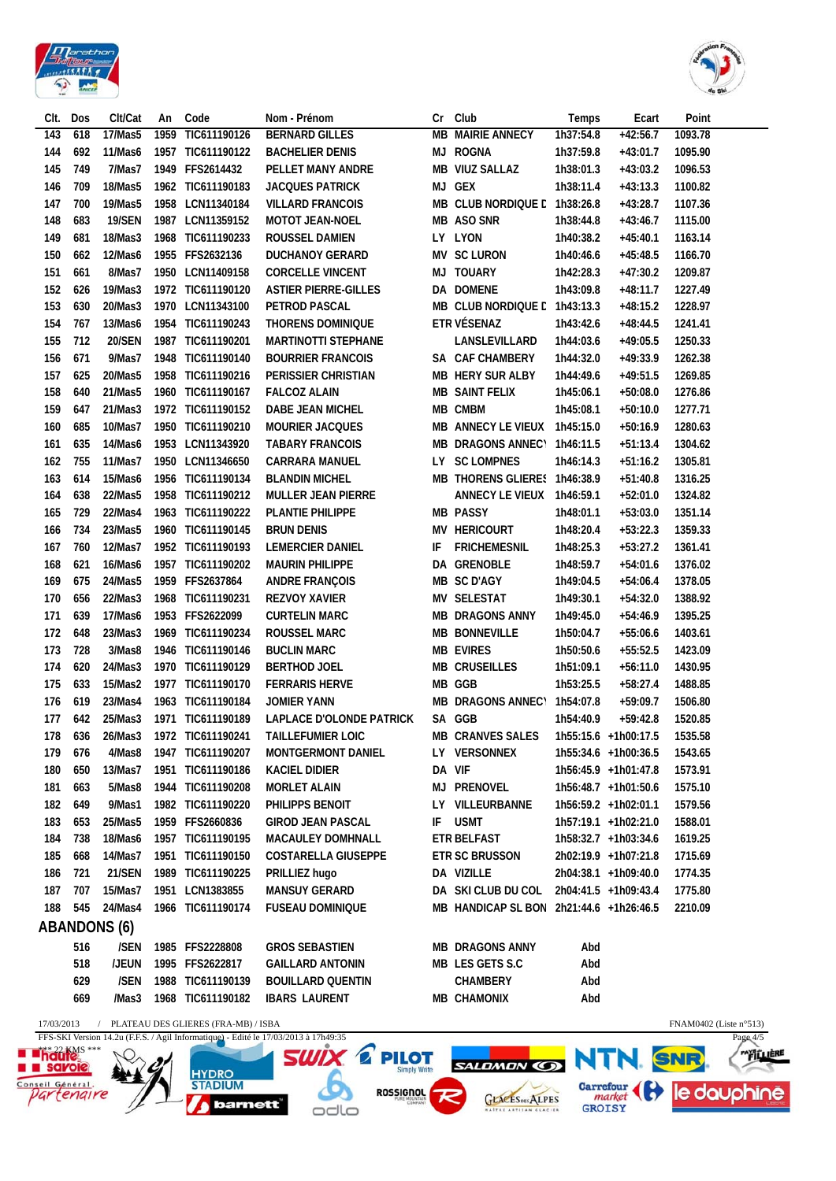



| CIt.                           | Dos           | Clt/Cat             | An   | Code                                | Nom - Prénom                                                                        | Cr | Club                                                  | Temps         | Ecart                | Point                     |                  |
|--------------------------------|---------------|---------------------|------|-------------------------------------|-------------------------------------------------------------------------------------|----|-------------------------------------------------------|---------------|----------------------|---------------------------|------------------|
| 143                            | 618           | 17/Mas5             | 1959 | TIC611190126                        | <b>BERNARD GILLES</b>                                                               |    | <b>MB MAIRIE ANNECY</b>                               | 1h37:54.8     | $+42:56.7$           | 1093.78                   |                  |
| 144                            | 692           | 11/Mas6             |      | 1957 TIC611190122                   | <b>BACHELIER DENIS</b>                                                              |    | MJ ROGNA                                              | 1h37:59.8     | $+43:01.7$           | 1095.90                   |                  |
| 145                            | 749           | 7/Mas7              |      | 1949 FFS2614432                     | PELLET MANY ANDRE                                                                   |    | MB VIUZ SALLAZ                                        | 1h38:01.3     | $+43:03.2$           | 1096.53                   |                  |
| 146                            | 709           | 18/Mas5             |      | 1962 TIC611190183                   | <b>JACQUES PATRICK</b>                                                              |    | MJ GEX                                                | 1h38:11.4     | $+43:13.3$           | 1100.82                   |                  |
| 147                            | 700           | 19/Mas5             |      | 1958 LCN11340184                    | <b>VILLARD FRANCOIS</b>                                                             |    | MB CLUB NORDIQUE L 1h38:26.8                          |               | $+43:28.7$           | 1107.36                   |                  |
| 148                            | 683           | <b>19/SEN</b>       | 1987 | LCN11359152                         | MOTOT JEAN-NOEL                                                                     |    | MB ASO SNR                                            | 1h38:44.8     | $+43:46.7$           | 1115.00                   |                  |
| 149                            | 681           | 18/Mas3             |      | 1968 TIC611190233                   | <b>ROUSSEL DAMIEN</b>                                                               |    | LY LYON                                               | 1h40:38.2     | $+45:40.1$           | 1163.14                   |                  |
| 150                            | 662           | 12/Mas6             |      | 1955 FFS2632136                     | <b>DUCHANOY GERARD</b>                                                              |    | <b>MV SC LURON</b>                                    | 1h40:46.6     | $+45:48.5$           | 1166.70                   |                  |
| 151                            | 661           | 8/Mas7              |      | 1950 LCN11409158                    | <b>CORCELLE VINCENT</b>                                                             |    | MJ TOUARY                                             | 1h42:28.3     | $+47:30.2$           | 1209.87                   |                  |
| 152                            | 626           | 19/Mas3             |      | 1972 TIC611190120                   | <b>ASTIER PIERRE-GILLES</b>                                                         |    | DA DOMENE                                             | 1h43:09.8     | $+48:11.7$           | 1227.49                   |                  |
| 153                            | 630           | 20/Mas3             |      | 1970 LCN11343100                    | PETROD PASCAL                                                                       |    | MB CLUB NORDIQUE L 1h43:13.3                          |               | $+48:15.2$           | 1228.97                   |                  |
| 154                            | 767           | 13/Mas6             |      | 1954 TIC611190243                   | <b>THORENS DOMINIQUE</b>                                                            |    | ETR VÉSENAZ                                           | 1h43:42.6     | $+48:44.5$           | 1241.41                   |                  |
| 155                            | 712           | <b>20/SEN</b>       |      | 1987 TIC611190201                   | <b>MARTINOTTI STEPHANE</b>                                                          |    | LANSLEVILLARD                                         | 1h44:03.6     | $+49:05.5$           | 1250.33                   |                  |
| 156                            | 671           | 9/Mas7              |      | 1948 TIC611190140                   | <b>BOURRIER FRANCOIS</b>                                                            |    | SA CAF CHAMBERY                                       | 1h44:32.0     | $+49:33.9$           | 1262.38                   |                  |
| 157                            | 625           | 20/Mas5             | 1958 | TIC611190216                        | PERISSIER CHRISTIAN                                                                 |    | <b>MB HERY SUR ALBY</b>                               | 1h44:49.6     | $+49:51.5$           | 1269.85                   |                  |
| 158                            | 640           | 21/Mas5             |      | 1960 TIC611190167                   | <b>FALCOZ ALAIN</b>                                                                 |    | <b>MB SAINT FELIX</b>                                 | 1h45:06.1     | $+50:08.0$           | 1276.86                   |                  |
| 159                            | 647           | 21/Mas3             |      | 1972 TIC611190152                   | DABE JEAN MICHEL                                                                    |    | MB CMBM                                               | 1h45:08.1     | $+50:10.0$           | 1277.71                   |                  |
| 160                            | 685           | 10/Mas7             |      | 1950 TIC611190210                   | <b>MOURIER JACQUES</b>                                                              |    | MB ANNECY LE VIEUX 1h45:15.0                          |               | $+50:16.9$           | 1280.63                   |                  |
| 161                            | 635           | 14/Mas6             |      | 1953 LCN11343920                    | <b>TABARY FRANCOIS</b>                                                              |    | MB DRAGONS ANNEC\ 1h46:11.5                           |               | $+51:13.4$           | 1304.62                   |                  |
| 162                            | 755           | 11/Mas7             |      | 1950 LCN11346650                    | <b>CARRARA MANUEL</b>                                                               |    | LY SC LOMPNES                                         | 1h46:14.3     | $+51:16.2$           | 1305.81                   |                  |
| 163                            | 614           | 15/Mas6             |      | 1956 TIC611190134                   | <b>BLANDIN MICHEL</b>                                                               |    | MB THORENS GLIERES 1h46:38.9                          |               | $+51:40.8$           | 1316.25                   |                  |
| 164                            | 638           | 22/Mas5             |      | 1958 TIC611190212                   | <b>MULLER JEAN PIERRE</b>                                                           |    | ANNECY LE VIEUX 1h46:59.1                             |               | $+52:01.0$           | 1324.82                   |                  |
| 165                            | 729           | 22/Mas4             |      | 1963 TIC611190222                   | <b>PLANTIE PHILIPPE</b>                                                             |    | <b>MB PASSY</b>                                       | 1h48:01.1     | $+53:03.0$           | 1351.14                   |                  |
|                                | 734           | 23/Mas5             |      |                                     |                                                                                     |    | MV HERICOURT                                          |               |                      |                           |                  |
| 166                            |               |                     |      | 1960 TIC611190145                   | <b>BRUN DENIS</b>                                                                   |    |                                                       | 1h48:20.4     | $+53:22.3$           | 1359.33                   |                  |
| 167                            | 760           | 12/Mas7             |      | 1952 TIC611190193                   | <b>LEMERCIER DANIEL</b>                                                             | IF | <b>FRICHEMESNIL</b>                                   | 1h48:25.3     | $+53:27.2$           | 1361.41                   |                  |
| 168                            | 621           | 16/Mas6             |      | 1957 TIC611190202                   | <b>MAURIN PHILIPPE</b>                                                              |    | DA GRENOBLE                                           | 1h48:59.7     | $+54:01.6$           | 1376.02                   |                  |
| 169                            | 675           | 24/Mas5             |      | 1959 FFS2637864                     | <b>ANDRE FRANÇOIS</b>                                                               |    | MB SC D'AGY                                           | 1h49:04.5     | $+54:06.4$           | 1378.05                   |                  |
| 170                            | 656           | 22/Mas3             | 1968 | TIC611190231                        | <b>REZVOY XAVIER</b>                                                                |    | MV SELESTAT                                           | 1h49:30.1     | $+54:32.0$           | 1388.92                   |                  |
| 171                            | 639           | 17/Mas6             |      | 1953 FFS2622099                     | <b>CURTELIN MARC</b>                                                                |    | <b>MB DRAGONS ANNY</b>                                | 1h49:45.0     | $+54:46.9$           | 1395.25                   |                  |
| 172                            | 648           | 23/Mas3             | 1969 | TIC611190234                        | <b>ROUSSEL MARC</b>                                                                 |    | <b>MB BONNEVILLE</b>                                  | 1h50:04.7     | $+55:06.6$           | 1403.61                   |                  |
| 173                            | 728           | 3/Mas8              |      | 1946 TIC611190146                   | <b>BUCLIN MARC</b>                                                                  |    | <b>MB EVIRES</b>                                      | 1h50:50.6     | $+55:52.5$           | 1423.09                   |                  |
| 174                            | 620           | 24/Mas3             |      | 1970 TIC611190129                   | <b>BERTHOD JOEL</b>                                                                 |    | <b>MB CRUSEILLES</b>                                  | 1h51:09.1     | $+56:11.0$           | 1430.95                   |                  |
| 175                            | 633           | 15/Mas2             |      | 1977 TIC611190170                   | <b>FERRARIS HERVE</b>                                                               |    | MB GGB                                                | 1h53:25.5     | $+58:27.4$           | 1488.85                   |                  |
| 176                            | 619           | 23/Mas4             |      | 1963 TIC611190184                   | <b>JOMIER YANN</b>                                                                  |    | MB DRAGONS ANNEC\ 1h54:07.8                           |               | $+59:09.7$           | 1506.80                   |                  |
| 177                            | 642           | 25/Mas3             |      | 1971 TIC611190189                   | <b>LAPLACE D'OLONDE PATRICK</b>                                                     |    | SA GGB                                                | 1h54:40.9     | $+59:42.8$           | 1520.85                   |                  |
| 178                            | 636           |                     |      |                                     | 26/Mas3 1972 TIC611190241 TAILLEFUMIER LOIC                                         |    | MB CRANVES SALES 1h55:15.6 +1h00:17.5                 |               |                      | 1535.58                   |                  |
| 179                            | 676           | 4/Mas8              |      | 1947 TIC611190207                   | <b>MONTGERMONT DANIEL</b>                                                           |    | LY VERSONNEX                                          |               | 1h55:34.6 +1h00:36.5 | 1543.65                   |                  |
| 180                            | 650           | 13/Mas7             | 1951 | TIC611190186                        | <b>KACIEL DIDIER</b>                                                                |    | DA VIF                                                |               | 1h56:45.9 +1h01:47.8 | 1573.91                   |                  |
| 181                            | 663           | 5/Mas8              |      | 1944 TIC611190208                   | <b>MORLET ALAIN</b>                                                                 |    | <b>MJ PRENOVEL</b>                                    |               | 1h56:48.7 +1h01:50.6 | 1575.10                   |                  |
| 182                            | 649           | 9/Mas1              |      | 1982 TIC611190220                   | PHILIPPS BENOIT                                                                     |    | LY VILLEURBANNE                                       |               | 1h56:59.2 +1h02:01.1 | 1579.56                   |                  |
| 183                            | 653           | 25/Mas5             |      | 1959 FFS2660836                     | <b>GIROD JEAN PASCAL</b>                                                            | IF | <b>USMT</b>                                           |               | 1h57:19.1 +1h02:21.0 | 1588.01                   |                  |
| 184                            | 738           | 18/Mas6             |      | 1957 TIC611190195                   | <b>MACAULEY DOMHNALL</b>                                                            |    | ETR BELFAST                                           |               | 1h58:32.7 +1h03:34.6 | 1619.25                   |                  |
| 185                            | 668           | 14/Mas7             |      | 1951 TIC611190150                   | <b>COSTARELLA GIUSEPPE</b>                                                          |    | ETR SC BRUSSON                                        |               | 2h02:19.9 +1h07:21.8 | 1715.69                   |                  |
| 186                            | 721           | <b>21/SEN</b>       |      | 1989 TIC611190225                   | PRILLIEZ hugo                                                                       |    | DA VIZILLE                                            |               | 2h04:38.1 +1h09:40.0 | 1774.35                   |                  |
| 187                            | 707           | 15/Mas7             |      | 1951 LCN1383855                     | MANSUY GERARD                                                                       |    | DA SKI CLUB DU COL 2h04:41.5 +1h09:43.4               |               |                      | 1775.80                   |                  |
| 188                            | 545           | 24/Mas4             |      | 1966 TIC611190174                   | <b>FUSEAU DOMINIQUE</b>                                                             |    | MB HANDICAP SL BON 2h21:44.6 +1h26:46.5               |               |                      | 2210.09                   |                  |
|                                |               | <b>ABANDONS (6)</b> |      |                                     |                                                                                     |    |                                                       |               |                      |                           |                  |
|                                | 516           | /SEN                |      | 1985 FFS2228808                     | <b>GROS SEBASTIEN</b>                                                               |    | <b>MB DRAGONS ANNY</b>                                | Abd           |                      |                           |                  |
|                                | 518           | /JEUN               |      | 1995 FFS2622817                     | <b>GAILLARD ANTONIN</b>                                                             |    | MB LES GETS S.C                                       | Abd           |                      |                           |                  |
|                                | 629           | /SEN                |      | 1988 TIC611190139                   | <b>BOUILLARD QUENTIN</b>                                                            |    | <b>CHAMBERY</b>                                       | Abd           |                      |                           |                  |
|                                | 669           | /Mas3               |      | 1968 TIC611190182                   | <b>IBARS LAURENT</b>                                                                |    | <b>MB CHAMONIX</b>                                    | Abd           |                      |                           |                  |
|                                |               |                     |      |                                     |                                                                                     |    |                                                       |               |                      |                           |                  |
| 17/03/2013                     |               |                     |      | PLATEAU DES GLIERES (FRA-MB) / ISBA | FFS-SKI Version 14.2u (F.F.S. / Agil Informatique) - Edité le 17/03/2013 à 17h49:35 |    |                                                       |               |                      | FNAM0402 (Liste $n°513$ ) | Page 4/5         |
| hadfas ***                     |               |                     |      |                                     | <b>SWIX 2</b><br><b>PILOT</b>                                                       |    |                                                       |               | NTN. SNR             |                           | <b>"FILLIERE</b> |
|                                | <b>savois</b> |                     |      | HYDRO<br>STADIUM                    |                                                                                     |    | <b>SALDMON CO</b>                                     |               |                      |                           |                  |
| Conseil Général.<br>Partengire |               |                     |      |                                     | <b>ROSSIGNOL</b>                                                                    |    |                                                       |               | Carrefour            |                           | le dauphine      |
|                                |               |                     |      | barnett                             | odlo                                                                                |    | TLACES <sub>DES</sub> ALPES<br>NATTAE ARTISAN GLACIER | <b>GROISY</b> |                      |                           |                  |

 $OdG$